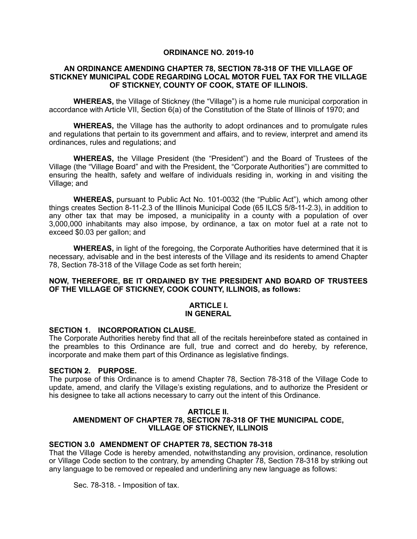## **ORDINANCE NO. 2019-10**

#### **AN ORDINANCE AMENDING CHAPTER 78, SECTION 78-318 OF THE VILLAGE OF STICKNEY MUNICIPAL CODE REGARDING LOCAL MOTOR FUEL TAX FOR THE VILLAGE OF STICKNEY, COUNTY OF COOK, STATE OF ILLINOIS.**

**WHEREAS,** the Village of Stickney (the "Village") is a home rule municipal corporation in accordance with Article VII, Section 6(a) of the Constitution of the State of Illinois of 1970; and

**WHEREAS,** the Village has the authority to adopt ordinances and to promulgate rules and regulations that pertain to its government and affairs, and to review, interpret and amend its ordinances, rules and regulations; and

**WHEREAS,** the Village President (the "President") and the Board of Trustees of the Village (the "Village Board" and with the President, the "Corporate Authorities") are committed to ensuring the health, safety and welfare of individuals residing in, working in and visiting the Village; and

**WHEREAS,** pursuant to Public Act No. 101-0032 (the "Public Act"), which among other things creates Section 8-11-2.3 of the Illinois Municipal Code (65 ILCS 5/8-11-2.3), in addition to any other tax that may be imposed, a municipality in a county with a population of over 3,000,000 inhabitants may also impose, by ordinance, a tax on motor fuel at a rate not to exceed \$0.03 per gallon; and

**WHEREAS,** in light of the foregoing, the Corporate Authorities have determined that it is necessary, advisable and in the best interests of the Village and its residents to amend Chapter 78, Section 78-318 of the Village Code as set forth herein;

## **NOW, THEREFORE, BE IT ORDAINED BY THE PRESIDENT AND BOARD OF TRUSTEES OF THE VILLAGE OF STICKNEY, COOK COUNTY, ILLINOIS, as follows:**

#### **ARTICLE I. IN GENERAL**

## **SECTION 1. INCORPORATION CLAUSE.**

The Corporate Authorities hereby find that all of the recitals hereinbefore stated as contained in the preambles to this Ordinance are full, true and correct and do hereby, by reference, incorporate and make them part of this Ordinance as legislative findings.

## **SECTION 2. PURPOSE.**

The purpose of this Ordinance is to amend Chapter 78, Section 78-318 of the Village Code to update, amend, and clarify the Village's existing regulations, and to authorize the President or his designee to take all actions necessary to carry out the intent of this Ordinance.

#### **ARTICLE II.**

## **AMENDMENT OF CHAPTER 78, SECTION 78-318 OF THE MUNICIPAL CODE, VILLAGE OF STICKNEY, ILLINOIS**

## **SECTION 3.0 AMENDMENT OF CHAPTER 78, SECTION 78-318**

That the Village Code is hereby amended, notwithstanding any provision, ordinance, resolution or Village Code section to the contrary, by amending Chapter 78, Section 78-318 by striking out any language to be removed or repealed and underlining any new language as follows:

Sec. 78-318. - Imposition of tax.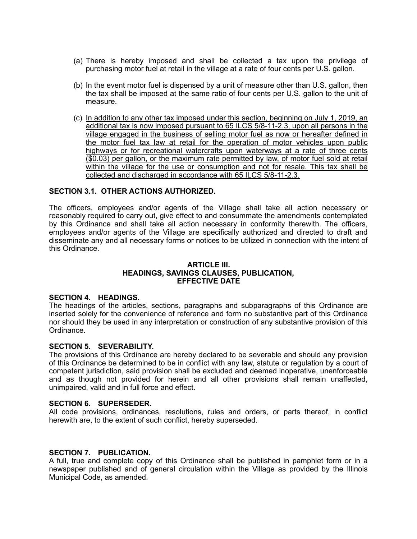- (a) There is hereby imposed and shall be collected a tax upon the privilege of purchasing motor fuel at retail in the village at a rate of four cents per U.S. gallon.
- (b) In the event motor fuel is dispensed by a unit of measure other than U.S. gallon, then the tax shall be imposed at the same ratio of four cents per U.S. gallon to the unit of measure.
- (c) In addition to any other tax imposed under this section, beginning on July 1, 2019, an additional tax is now imposed pursuant to 65 ILCS 5/8-11-2.3, upon all persons in the village engaged in the business of selling motor fuel as now or hereafter defined in the motor fuel tax law at retail for the operation of motor vehicles upon public highways or for recreational watercrafts upon waterways at a rate of three cents (\$0.03) per gallon, or the maximum rate permitted by law, of motor fuel sold at retail within the village for the use or consumption and not for resale. This tax shall be collected and discharged in accordance with 65 ILCS 5/8-11-2.3.

# **SECTION 3.1. OTHER ACTIONS AUTHORIZED.**

The officers, employees and/or agents of the Village shall take all action necessary or reasonably required to carry out, give effect to and consummate the amendments contemplated by this Ordinance and shall take all action necessary in conformity therewith. The officers, employees and/or agents of the Village are specifically authorized and directed to draft and disseminate any and all necessary forms or notices to be utilized in connection with the intent of this Ordinance.

#### **ARTICLE III. HEADINGS, SAVINGS CLAUSES, PUBLICATION, EFFECTIVE DATE**

## **SECTION 4. HEADINGS.**

The headings of the articles, sections, paragraphs and subparagraphs of this Ordinance are inserted solely for the convenience of reference and form no substantive part of this Ordinance nor should they be used in any interpretation or construction of any substantive provision of this Ordinance.

## **SECTION 5. SEVERABILITY.**

The provisions of this Ordinance are hereby declared to be severable and should any provision of this Ordinance be determined to be in conflict with any law, statute or regulation by a court of competent jurisdiction, said provision shall be excluded and deemed inoperative, unenforceable and as though not provided for herein and all other provisions shall remain unaffected, unimpaired, valid and in full force and effect.

#### **SECTION 6. SUPERSEDER.**

All code provisions, ordinances, resolutions, rules and orders, or parts thereof, in conflict herewith are, to the extent of such conflict, hereby superseded.

#### **SECTION 7. PUBLICATION.**

A full, true and complete copy of this Ordinance shall be published in pamphlet form or in a newspaper published and of general circulation within the Village as provided by the Illinois Municipal Code, as amended.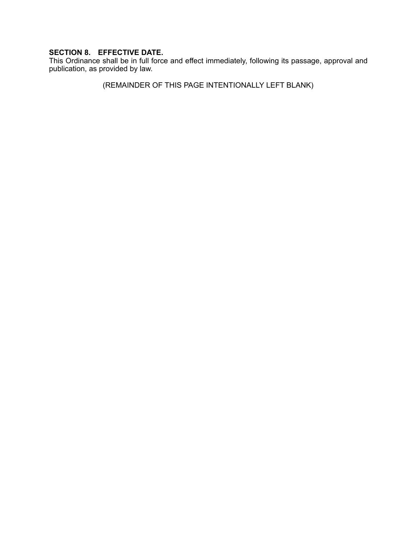# **SECTION 8. EFFECTIVE DATE.**

This Ordinance shall be in full force and effect immediately, following its passage, approval and publication, as provided by law.

(REMAINDER OF THIS PAGE INTENTIONALLY LEFT BLANK)